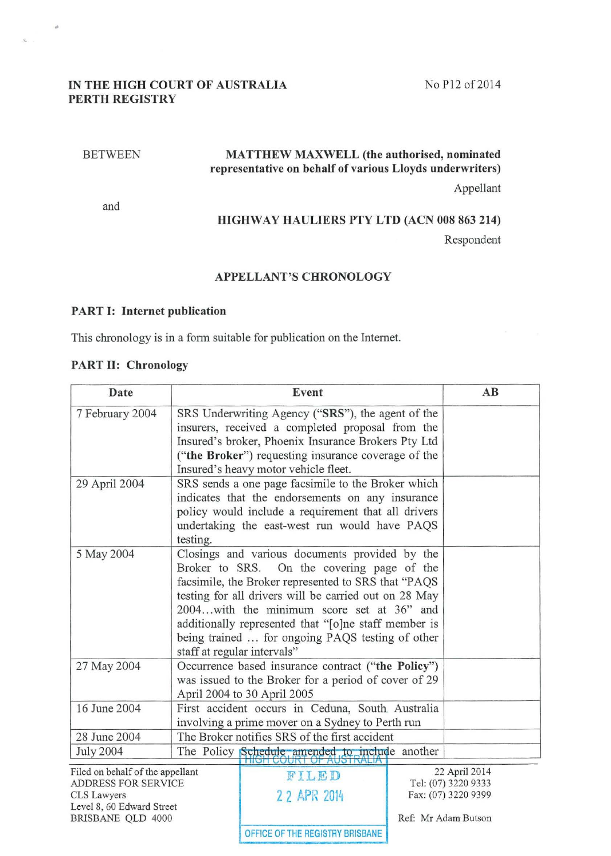## IN THE HIGH COURT OF AUSTRALIA PERTH REGISTRY

### No P12 of 2014

#### BETWEEN

 $\theta$ 

# MATTHEW MAXWELL (the authorised, nominated representative on behalf of various Lloyds underwriters)

Appellant

and

#### HIGHWAY HAULIERS PTY LTD (ACN 008 863 214)

Respondent

#### APPELLANT'S CHRONOLOGY

#### PART 1: Internet publication

This chronology is in a form suitable for publication on the Internet.

#### PART II: Chronology

| Date                                                    |                                                                                                                                                                                                                                                                                                                                                                                                      | Event                                                                                                                                                                                                                                                       |  | AB                                   |
|---------------------------------------------------------|------------------------------------------------------------------------------------------------------------------------------------------------------------------------------------------------------------------------------------------------------------------------------------------------------------------------------------------------------------------------------------------------------|-------------------------------------------------------------------------------------------------------------------------------------------------------------------------------------------------------------------------------------------------------------|--|--------------------------------------|
| 7 February 2004                                         |                                                                                                                                                                                                                                                                                                                                                                                                      | SRS Underwriting Agency ("SRS"), the agent of the<br>insurers, received a completed proposal from the<br>Insured's broker, Phoenix Insurance Brokers Pty Ltd<br>("the Broker") requesting insurance coverage of the<br>Insured's heavy motor vehicle fleet. |  |                                      |
| 29 April 2004                                           | testing.                                                                                                                                                                                                                                                                                                                                                                                             | SRS sends a one page facsimile to the Broker which<br>indicates that the endorsements on any insurance<br>policy would include a requirement that all drivers<br>undertaking the east-west run would have PAQS                                              |  |                                      |
| 5 May 2004                                              | Closings and various documents provided by the<br>Broker to SRS. On the covering page of the<br>facsimile, the Broker represented to SRS that "PAQS<br>testing for all drivers will be carried out on 28 May<br>2004with the minimum score set at 36" and<br>additionally represented that "[o]ne staff member is<br>being trained  for ongoing PAQS testing of other<br>staff at regular intervals" |                                                                                                                                                                                                                                                             |  |                                      |
| 27 May 2004                                             |                                                                                                                                                                                                                                                                                                                                                                                                      | Occurrence based insurance contract ("the Policy")<br>was issued to the Broker for a period of cover of 29<br>April 2004 to 30 April 2005                                                                                                                   |  |                                      |
| 16 June 2004                                            | First accident occurs in Ceduna, South Australia<br>involving a prime mover on a Sydney to Perth run                                                                                                                                                                                                                                                                                                 |                                                                                                                                                                                                                                                             |  |                                      |
| 28 June 2004                                            |                                                                                                                                                                                                                                                                                                                                                                                                      | The Broker notifies SRS of the first accident                                                                                                                                                                                                               |  |                                      |
| <b>July 2004</b>                                        |                                                                                                                                                                                                                                                                                                                                                                                                      | The Policy Schedule amended to include another                                                                                                                                                                                                              |  |                                      |
| Filed on behalf of the appellant<br>ADDRESS FOR SERVICE |                                                                                                                                                                                                                                                                                                                                                                                                      | FILED                                                                                                                                                                                                                                                       |  | 22 April 2014<br>Tel: (07) 3220 9333 |

CLS Lawyers Level 8, 60 Edward Street BRISBANE QLD 4000 Ref: Mr Adam Butson

2 2 APR 2014 Fax: (07) 3220 9399

OFFICE OF THE REGISTRY BRISBANE